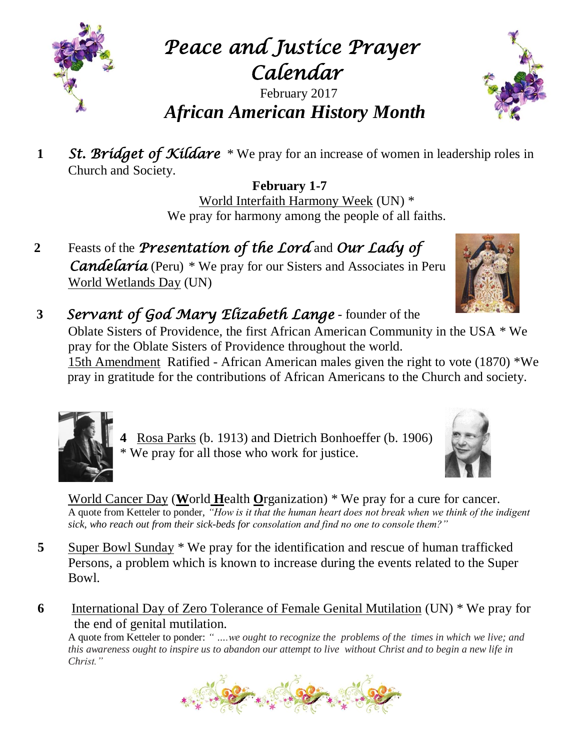

*Peace and Justice Prayer Calendar* 

## February 2017 *African American History Month*

**1** St. Bridget of Kildare \* We pray for an increase of women in leadership roles in Church and Society.

> **February 1-7** World Interfaith Harmony Week (UN) \* We pray for harmony among the people of all faiths.

**2** Feasts of the *Presentation of the Lord* and *Our Lady of Candelaria* (Peru) \* We pray for our Sisters and Associates in Peru World Wetlands Day (UN)



Oblate Sisters of Providence, the first African American Community in the USA \* We pray for the Oblate Sisters of Providence throughout the world. 15th Amendment Ratified - African American males given the right to vote (1870) \*We pray in gratitude for the contributions of African Americans to the Church and society.

 **4** Rosa Parks (b. 1913) and Dietrich Bonhoeffer (b. 1906) \* We pray for all those who work for justice.

World Cancer Day (**W**orld **H**ealth **O**rganization) \* We pray for a cure for cancer. A quote from Ketteler to ponder, *"How is it that the human heart does not break when we think of the indigent sick, who reach out from their sick-beds for consolation and find no one to console them?"*

- **5** Super Bowl Sunday \* We pray for the identification and rescue of human trafficked Persons, a problem which is known to increase during the events related to the Super Bowl.
- **6** International Day of Zero Tolerance of Female Genital Mutilation (UN) \* We pray for the end of genital mutilation.

A quote from Ketteler to ponder: *" ….we ought to recognize the problems of the times in which we live; and this awareness ought to inspire us to abandon our attempt to live without Christ and to begin a new life in Christ."* 





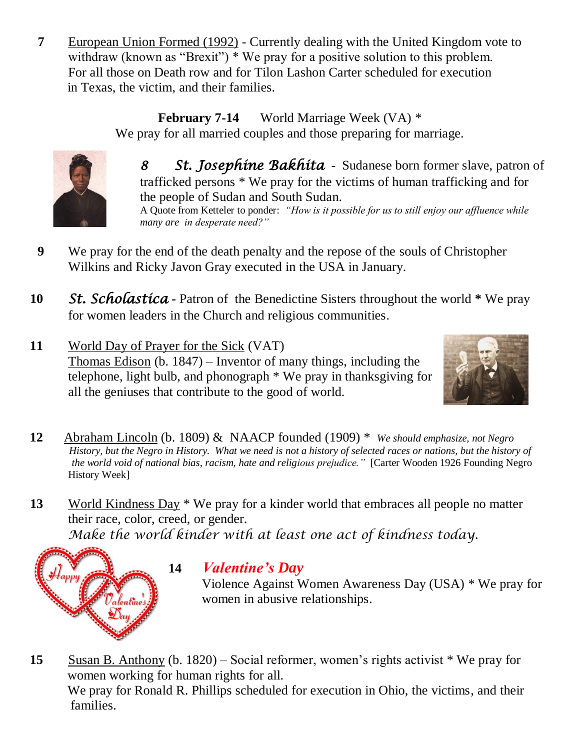**7** European Union Formed (1992) - Currently dealing with the United Kingdom vote to withdraw (known as "Brexit") \* We pray for a positive solution to this problem. For all those on Death row and for Tilon Lashon Carter scheduled for execution in Texas, the victim, and their families.

> **February 7-14** World Marriage Week (VA) \* We pray for all married couples and those preparing for marriage.



*8 St. Josephine Bakhita* - Sudanese born former slave, patron of trafficked persons \* We pray for the victims of human trafficking and for the people of Sudan and South Sudan. A Quote from Ketteler to ponder: *"How is it possible for us to still enjoy our affluence while many are in desperate need?"*

- **9** We pray for the end of the death penalty and the repose of the souls of Christopher Wilkins and Ricky Javon Gray executed in the USA in January.
- **10** *St. Scholastica* **-** Patron of the Benedictine Sisters throughout the world **\*** We pray for women leaders in the Church and religious communities.
- **11** World Day of Prayer for the Sick (VAT) Thomas Edison (b. 1847) – Inventor of many things, including the telephone, light bulb, and phonograph \* We pray in thanksgiving for all the geniuses that contribute to the good of world.



- **12** Abraham Lincoln (b. 1809) & NAACP founded (1909) \* *We should emphasize, not Negro History, but the Negro in History. What we need is not a history of selected races or nations, but the history of the world void of national bias, racism, hate and religious prejudice."* [Carter Wooden 1926 Founding Negro History Week]
- **13** World Kindness Day \* We pray for a kinder world that embraces all people no matter their race, color, creed, or gender. *Make the world kinder with at least one act of kindness today.*



## **14** *Valentine's Day*

 Violence Against Women Awareness Day (USA) \* We pray for women in abusive relationships.

**15** Susan B. Anthony (b. 1820) – Social reformer, women's rights activist \* We pray for women working for human rights for all. We pray for Ronald R. Phillips scheduled for execution in Ohio, the victims, and their families.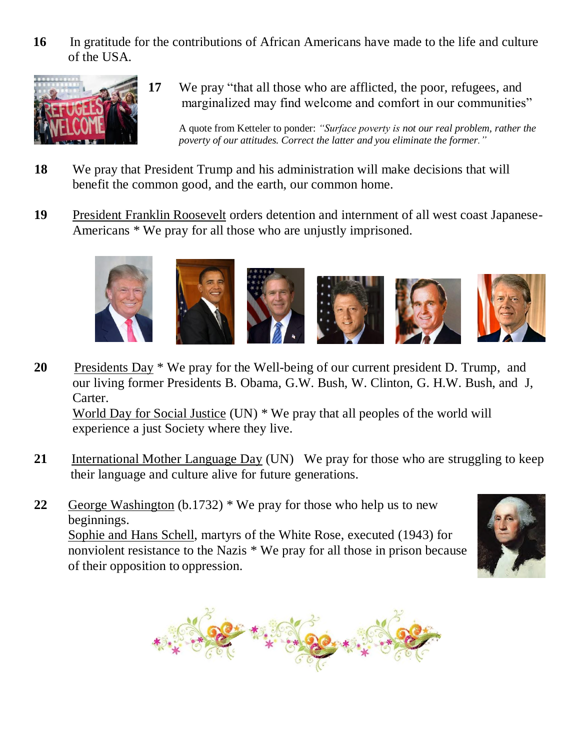**16** In gratitude for the contributions of African Americans have made to the life and culture of the USA.



**17** We pray "that all those who are afflicted, the poor, refugees, and marginalized may find welcome and comfort in our communities"

 A quote from Ketteler to ponder: *"Surface poverty is not our real problem, rather the poverty of our attitudes. Correct the latter and you eliminate the former."*

- **18** We pray that President Trump and his administration will make decisions that will benefit the common good, and the earth, our common home.
- **19** President Franklin Roosevelt orders detention and internment of all west coast Japanese-Americans \* We pray for all those who are unjustly imprisoned.



- **20** Presidents Day \* We pray for the Well-being of our current president D. Trump, and our living former Presidents B. Obama, G.W. Bush, W. Clinton, G. H.W. Bush, and J, Carter. World Day for Social Justice (UN) \* We pray that all peoples of the world will experience a just Society where they live.
- **21** International Mother Language Day (UN) We pray for those who are struggling to keep their language and culture alive for future generations.
- **22** George Washington (b.1732) \* We pray for those who help us to new beginnings. Sophie and Hans Schell, martyrs of the White Rose, executed (1943) for nonviolent resistance to the Nazis \* We pray for all those in prison because of their opposition to oppression.